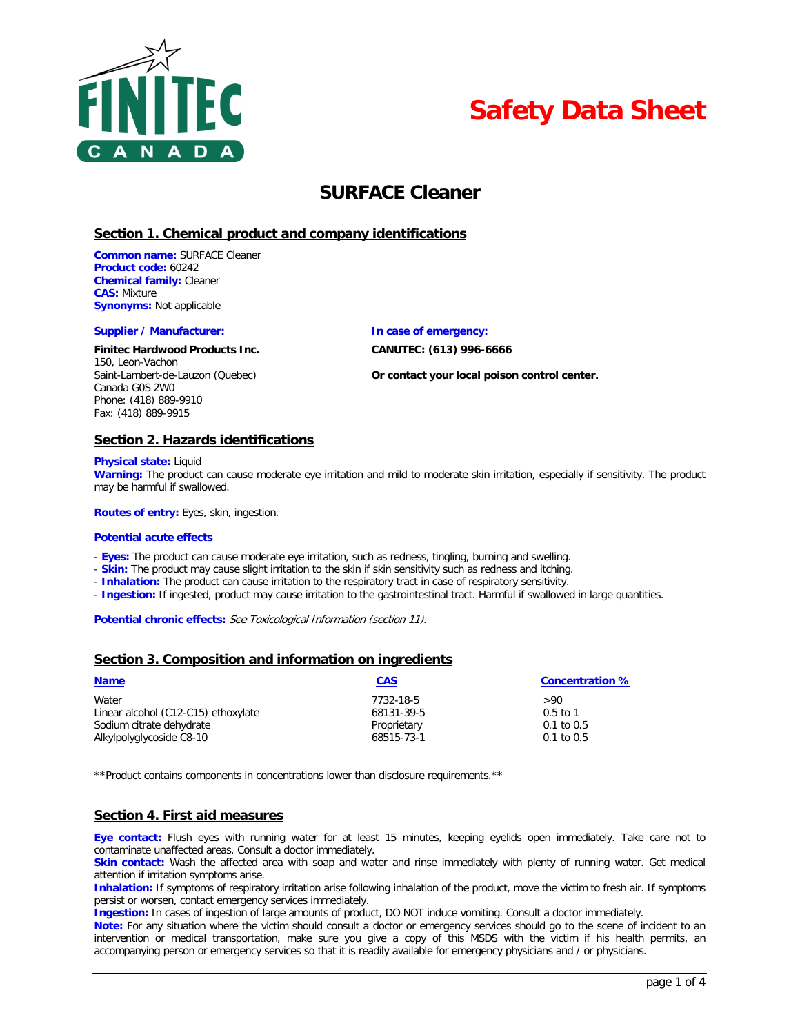



# **SURFACE Cleaner**

## **Section 1. Chemical product and company identifications**

**Common name:** SURFACE Cleaner **Product code:** 60242 **Chemical family:** Cleaner **CAS:** Mixture **Synonyms:** Not applicable

#### **Supplier / Manufacturer: In case of emergency:**

#### **Finitec Hardwood Products Inc. CANUTEC: (613) 996-6666**

150, Leon-Vachon Canada G0S 2W0 Phone: (418) 889-9910 Fax: (418) 889-9915

Saint-Lambert-de-Lauzon (Quebec) **Or contact your local poison control center.**

### **Section 2. Hazards identifications**

**Physical state:** Liquid

**Warning:** The product can cause moderate eye irritation and mild to moderate skin irritation, especially if sensitivity. The product may be harmful if swallowed.

**Routes of entry:** Eyes, skin, ingestion.

#### **Potential acute effects**

- **Eyes:** The product can cause moderate eye irritation, such as redness, tingling, burning and swelling.
- **Skin:** The product may cause slight irritation to the skin if skin sensitivity such as redness and itching.
- **Inhalation:** The product can cause irritation to the respiratory tract in case of respiratory sensitivity.
- **Ingestion:** If ingested, product may cause irritation to the gastrointestinal tract. Harmful if swallowed in large quantities.

Potential chronic effects: See Toxicological Information (section 11).

### **Section 3. Composition and information on ingredients**

| <b>Name</b>                         | <b>CAS</b>  | <b>Concentration %</b> |
|-------------------------------------|-------------|------------------------|
| Water                               | 7732-18-5   | >90                    |
| Linear alcohol (C12-C15) ethoxylate | 68131-39-5  | $0.5 \text{ to } 1$    |
| Sodium citrate dehydrate            | Proprietary | $0.1$ to $0.5$         |
| Alkylpolyglycoside C8-10            | 68515-73-1  | $0.1$ to $0.5$         |

\*\*Product contains components in concentrations lower than disclosure requirements.\*\*

# **Section 4. First aid measures**

**Eye contact:** Flush eyes with running water for at least 15 minutes, keeping eyelids open immediately. Take care not to contaminate unaffected areas. Consult a doctor immediately.

**Skin contact:** Wash the affected area with soap and water and rinse immediately with plenty of running water. Get medical attention if irritation symptoms arise.

**Inhalation:** If symptoms of respiratory irritation arise following inhalation of the product, move the victim to fresh air. If symptoms persist or worsen, contact emergency services immediately.

**Ingestion:** In cases of ingestion of large amounts of product, DO NOT induce vomiting. Consult a doctor immediately.

**Note:** For any situation where the victim should consult a doctor or emergency services should go to the scene of incident to an intervention or medical transportation, make sure you give a copy of this MSDS with the victim if his health permits, an accompanying person or emergency services so that it is readily available for emergency physicians and / or physicians.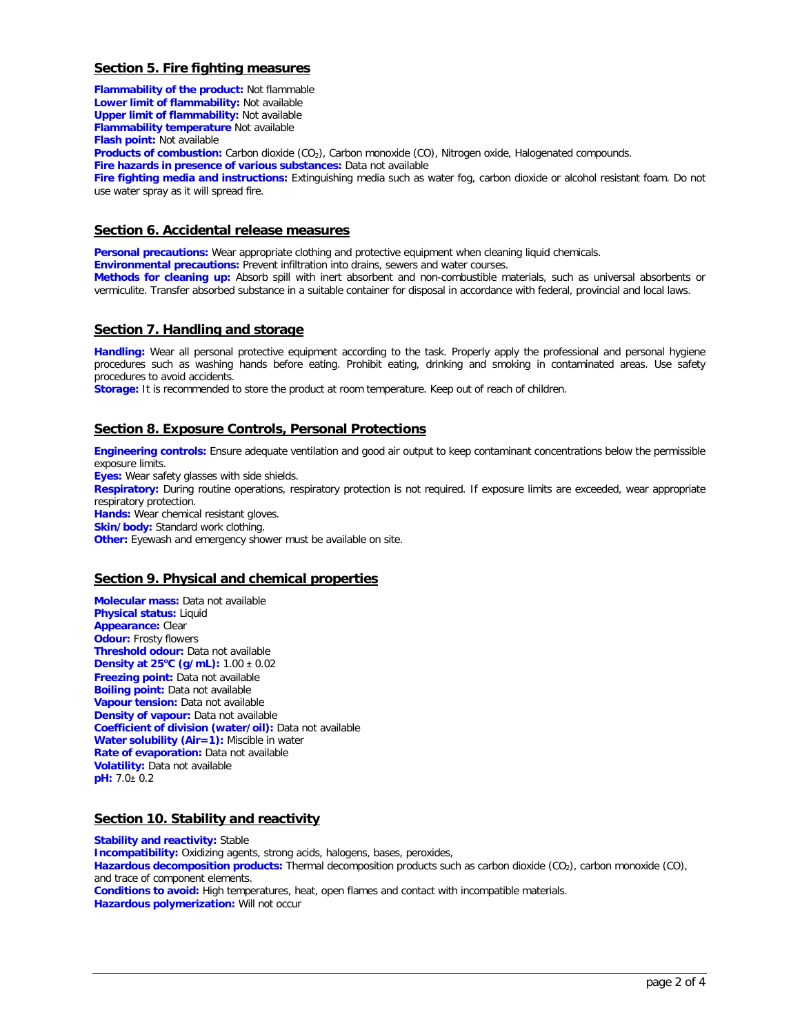# **Section 5. Fire fighting measures**

**Flammability of the product:** Not flammable **Lower limit of flammability:** Not available **Upper limit of flammability:** Not available **Flammability temperature** Not available **Flash point:** Not available **Products of combustion:** Carbon dioxide (CO<sub>2</sub>), Carbon monoxide (CO), Nitrogen oxide, Halogenated compounds. **Fire hazards in presence of various substances:** Data not available **Fire fighting media and instructions:** Extinguishing media such as water fog, carbon dioxide or alcohol resistant foam. Do not use water spray as it will spread fire.

## **Section 6. Accidental release measures**

**Personal precautions:** Wear appropriate clothing and protective equipment when cleaning liquid chemicals.

**Environmental precautions:** Prevent infiltration into drains, sewers and water courses.

**Methods for cleaning up:** Absorb spill with inert absorbent and non-combustible materials, such as universal absorbents or vermiculite. Transfer absorbed substance in a suitable container for disposal in accordance with federal, provincial and local laws.

### **Section 7. Handling and storage**

**Handling:** Wear all personal protective equipment according to the task. Properly apply the professional and personal hygiene procedures such as washing hands before eating. Prohibit eating, drinking and smoking in contaminated areas. Use safety procedures to avoid accidents.

**Storage:** It is recommended to store the product at room temperature. Keep out of reach of children.

# **Section 8. Exposure Controls, Personal Protections**

**Engineering controls:** Ensure adequate ventilation and good air output to keep contaminant concentrations below the permissible exposure limits.

**Eyes:** Wear safety glasses with side shields.

**Respiratory:** During routine operations, respiratory protection is not required. If exposure limits are exceeded, wear appropriate respiratory protection.

**Hands:** Wear chemical resistant gloves.

**Skin/body:** Standard work clothing.

**Other:** Eyewash and emergency shower must be available on site.

### **Section 9. Physical and chemical properties**

**Molecular mass:** Data not available **Physical status:** Liquid **Appearance:** Clear **Odour:** Frosty flowers **Threshold odour:** Data not available **Density at 25<sup>o</sup> C (g/mL):** 1.00 ± 0.02 **Freezing point:** Data not available **Boiling point:** Data not available **Vapour tension:** Data not available **Density of vapour:** Data not available **Coefficient of division (water/oil):** Data not available **Water solubility (Air=1):** Miscible in water **Rate of evaporation:** Data not available **Volatility:** Data not available **pH:** 7.0± 0.2

### **Section 10. Stability and reactivity**

**Stability and reactivity: Stable Incompatibility:** Oxidizing agents, strong acids, halogens, bases, peroxides, Hazardous decomposition products: Thermal decomposition products such as carbon dioxide (CO<sub>2</sub>), carbon monoxide (CO<sub>2</sub>), and trace of component elements. **Conditions to avoid:** High temperatures, heat, open flames and contact with incompatible materials. **Hazardous polymerization:** Will not occur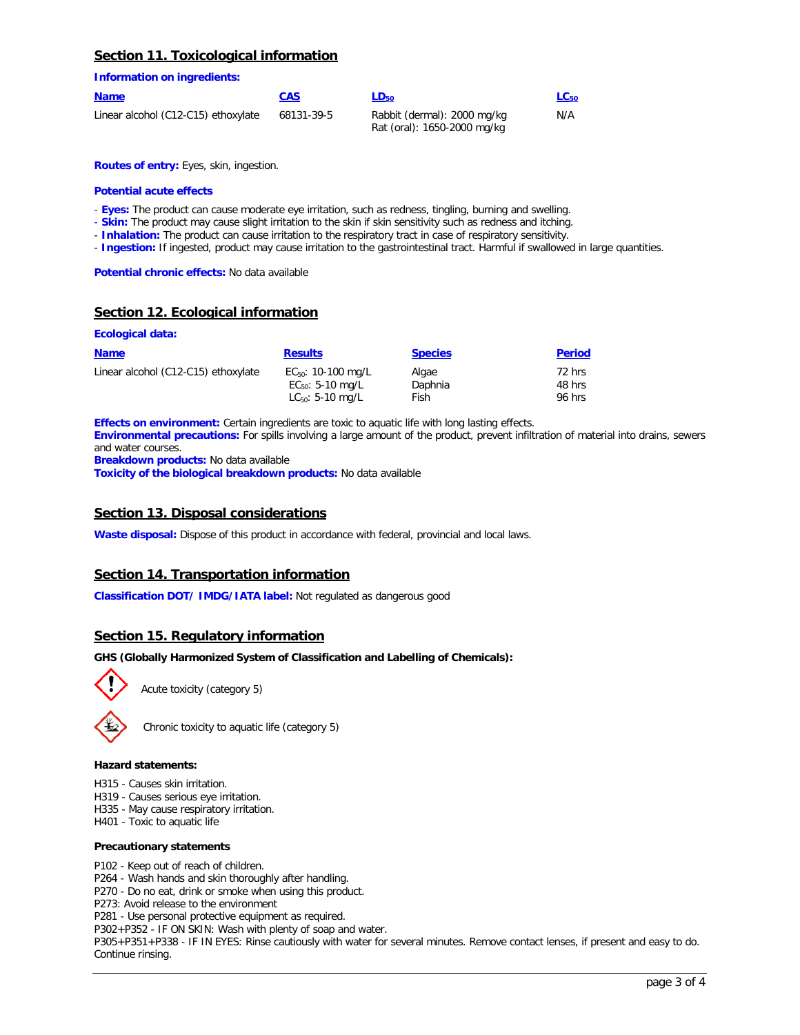## **Section 11. Toxicological information**

**Information on ingredients:**

| <b>Name</b>                         | <b>CAS</b> | $LD_{50}$                                                  | $LC_{50}$ |
|-------------------------------------|------------|------------------------------------------------------------|-----------|
| Linear alcohol (C12-C15) ethoxylate | 68131-39-5 | Rabbit (dermal): 2000 mg/kg<br>Rat (oral): 1650-2000 mg/kg | N/A       |

**Routes of entry:** Eyes, skin, ingestion.

#### **Potential acute effects**

- **Eyes:** The product can cause moderate eye irritation, such as redness, tingling, burning and swelling.
- **Skin:** The product may cause slight irritation to the skin if skin sensitivity such as redness and itching.
- **Inhalation:** The product can cause irritation to the respiratory tract in case of respiratory sensitivity.
- **Ingestion:** If ingested, product may cause irritation to the gastrointestinal tract. Harmful if swallowed in large quantities.

**Potential chronic effects:** No data available

# **Section 12. Ecological information**

#### **Ecological data:**

| <b>Name</b>                         | <b>Results</b>          | <b>Species</b> | <b>Period</b> |
|-------------------------------------|-------------------------|----------------|---------------|
| Linear alcohol (C12-C15) ethoxylate | $EC_{50}$ : 10-100 mg/L | Algae          | 72 hrs        |
|                                     | $EC_{50}$ : 5-10 mg/L   | Daphnia        | 48 hrs        |
|                                     | $LC_{50}$ : 5-10 mg/L   | Fish           | 96 hrs        |

**Effects on environment:** Certain ingredients are toxic to aquatic life with long lasting effects. **Environmental precautions:** For spills involving a large amount of the product, prevent infiltration of material into drains, sewers and water courses. **Breakdown products:** No data available

**Toxicity of the biological breakdown products:** No data available

## **Section 13. Disposal considerations**

**Waste disposal:** Dispose of this product in accordance with federal, provincial and local laws.

# **Section 14. Transportation information**

**Classification DOT/ IMDG/IATA label:** Not regulated as dangerous good

# **Section 15. Regulatory information**

#### **GHS (Globally Harmonized System of Classification and Labelling of Chemicals):**



Acute toxicity (category 5)

Chronic toxicity to aquatic life (category 5)

#### **Hazard statements:**

- H315 Causes skin irritation.
- H319 Causes serious eye irritation.
- H335 May cause respiratory irritation.
- H401 Toxic to aquatic life

#### **Precautionary statements**

- P102 Keep out of reach of children.
- P264 Wash hands and skin thoroughly after handling.
- P270 Do no eat, drink or smoke when using this product.
- P273: Avoid release to the environment
- P281 Use personal protective equipment as required.

P302+P352 - IF ON SKIN: Wash with plenty of soap and water.

P305+P351+P338 - IF IN EYES: Rinse cautiously with water for several minutes. Remove contact lenses, if present and easy to do. Continue rinsing.